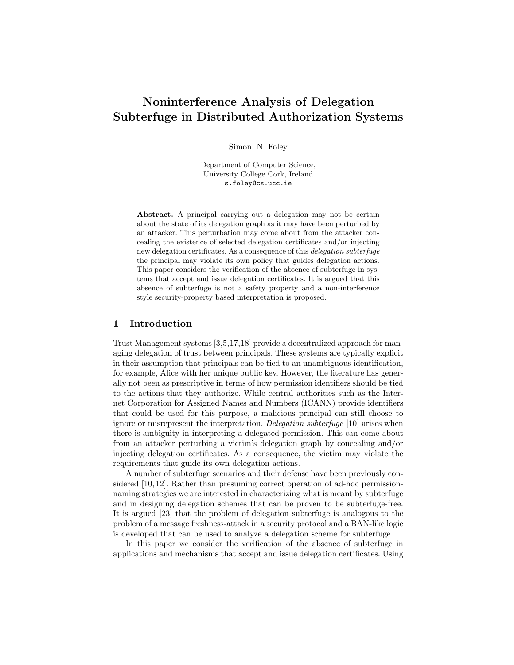# Noninterference Analysis of Delegation Subterfuge in Distributed Authorization Systems

Simon. N. Foley

Department of Computer Science, University College Cork, Ireland s.foley@cs.ucc.ie

Abstract. A principal carrying out a delegation may not be certain about the state of its delegation graph as it may have been perturbed by an attacker. This perturbation may come about from the attacker concealing the existence of selected delegation certificates and/or injecting new delegation certificates. As a consequence of this delegation subterfuge the principal may violate its own policy that guides delegation actions. This paper considers the verification of the absence of subterfuge in systems that accept and issue delegation certificates. It is argued that this absence of subterfuge is not a safety property and a non-interference style security-property based interpretation is proposed.

# 1 Introduction

Trust Management systems [3,5,17,18] provide a decentralized approach for managing delegation of trust between principals. These systems are typically explicit in their assumption that principals can be tied to an unambiguous identification, for example, Alice with her unique public key. However, the literature has generally not been as prescriptive in terms of how permission identifiers should be tied to the actions that they authorize. While central authorities such as the Internet Corporation for Assigned Names and Numbers (ICANN) provide identifiers that could be used for this purpose, a malicious principal can still choose to ignore or misrepresent the interpretation. Delegation subterfuge [10] arises when there is ambiguity in interpreting a delegated permission. This can come about from an attacker perturbing a victim's delegation graph by concealing and/or injecting delegation certificates. As a consequence, the victim may violate the requirements that guide its own delegation actions.

A number of subterfuge scenarios and their defense have been previously considered [10, 12]. Rather than presuming correct operation of ad-hoc permissionnaming strategies we are interested in characterizing what is meant by subterfuge and in designing delegation schemes that can be proven to be subterfuge-free. It is argued [23] that the problem of delegation subterfuge is analogous to the problem of a message freshness-attack in a security protocol and a BAN-like logic is developed that can be used to analyze a delegation scheme for subterfuge.

In this paper we consider the verification of the absence of subterfuge in applications and mechanisms that accept and issue delegation certificates. Using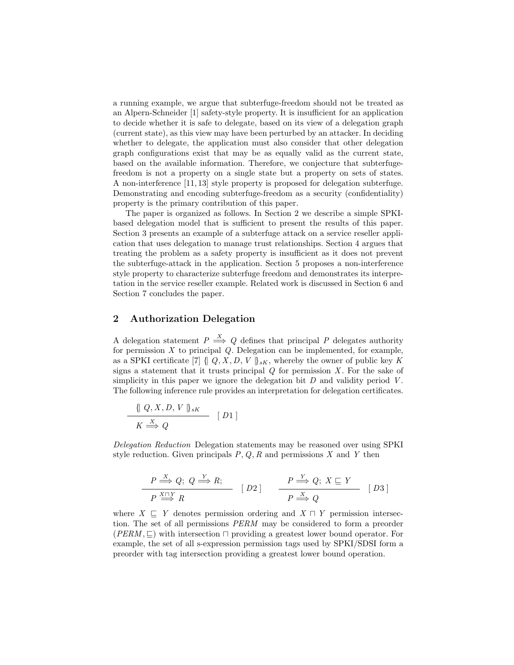a running example, we argue that subterfuge-freedom should not be treated as an Alpern-Schneider [1] safety-style property. It is insufficient for an application to decide whether it is safe to delegate, based on its view of a delegation graph (current state), as this view may have been perturbed by an attacker. In deciding whether to delegate, the application must also consider that other delegation graph configurations exist that may be as equally valid as the current state, based on the available information. Therefore, we conjecture that subterfugefreedom is not a property on a single state but a property on sets of states. A non-interference [11, 13] style property is proposed for delegation subterfuge. Demonstrating and encoding subterfuge-freedom as a security (confidentiality) property is the primary contribution of this paper.

The paper is organized as follows. In Section 2 we describe a simple SPKIbased delegation model that is sufficient to present the results of this paper. Section 3 presents an example of a subterfuge attack on a service reseller application that uses delegation to manage trust relationships. Section 4 argues that treating the problem as a safety property is insufficient as it does not prevent the subterfuge-attack in the application. Section 5 proposes a non-interference style property to characterize subterfuge freedom and demonstrates its interpretation in the service reseller example. Related work is discussed in Section 6 and Section 7 concludes the paper.

## 2 Authorization Delegation

A delegation statement  $P \stackrel{X}{\Longrightarrow} Q$  defines that principal P delegates authority for permission  $X$  to principal  $Q$ . Delegation can be implemented, for example, as a SPKI certificate [7] { $[Q, X, D, V]_{sK}$ , whereby the owner of public key K signs a statement that it trusts principal  $Q$  for permission  $X$ . For the sake of simplicity in this paper we ignore the delegation bit  $D$  and validity period  $V$ . The following inference rule provides an interpretation for delegation certificates.

$$
\frac{\{\, Q, X, D, V \,\}_{sK}}{K \stackrel{X}{\Longrightarrow} Q} \quad [D1]
$$

Delegation Reduction Delegation statements may be reasoned over using SPKI style reduction. Given principals  $P, Q, R$  and permissions X and Y then

$$
\frac{P \stackrel{X}{\Longrightarrow} Q; \ Q \stackrel{Y}{\Longrightarrow} R;}{P \stackrel{X \cap Y}{\Longrightarrow} R} \ [D2] \qquad \frac{P \stackrel{Y}{\Longrightarrow} Q; \ X \sqsubseteq Y}{P \stackrel{X}{\Longrightarrow} Q} \ [D3]
$$

where  $X \subseteq Y$  denotes permission ordering and  $X \cap Y$  permission intersection. The set of all permissions PERM may be considered to form a preorder  $(PERM, \square)$  with intersection  $\square$  providing a greatest lower bound operator. For example, the set of all s-expression permission tags used by SPKI/SDSI form a preorder with tag intersection providing a greatest lower bound operation.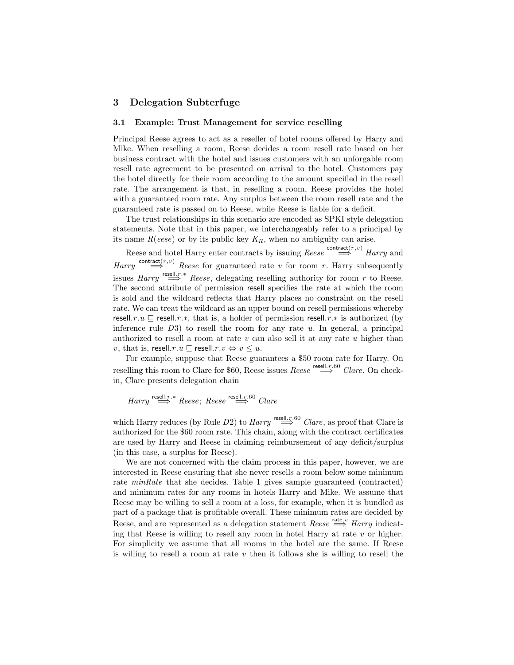## 3 Delegation Subterfuge

#### 3.1 Example: Trust Management for service reselling

Principal Reese agrees to act as a reseller of hotel rooms offered by Harry and Mike. When reselling a room, Reese decides a room resell rate based on her business contract with the hotel and issues customers with an unforgable room resell rate agreement to be presented on arrival to the hotel. Customers pay the hotel directly for their room according to the amount specified in the resell rate. The arrangement is that, in reselling a room, Reese provides the hotel with a guaranteed room rate. Any surplus between the room resell rate and the guaranteed rate is passed on to Reese, while Reese is liable for a deficit.

The trust relationships in this scenario are encoded as SPKI style delegation statements. Note that in this paper, we interchangeably refer to a principal by its name  $R(eese)$  or by its public key  $K_R$ , when no ambiguity can arise.

Reese and hotel Harry enter contracts by issuing  $\text{Reese} \overset{\text{contract}(r,v)}{\Longrightarrow} \text{Harry}$  and  $\textit{Harry} \xrightarrow{\text{contract}(r,v)} \textit{Reese}$  for guaranteed rate v for room r. Harry subsequently issues  $Harry \stackrel{\text{result},r.*}{\implies} Reese$ , delegating reselling authority for room r to Reese. The second attribute of permission resell specifies the rate at which the room is sold and the wildcard reflects that Harry places no constraint on the resell rate. We can treat the wildcard as an upper bound on resell permissions whereby resell.r  $u \subseteq$  resell.r .\*, that is, a holder of permission resell.r .\* is authorized (by inference rule  $D3$ ) to resell the room for any rate u. In general, a principal authorized to resell a room at rate  $v$  can also sell it at any rate  $u$  higher than v, that is, resell.r. $u \sqsubset$  resell.r. $v \Leftrightarrow v \leq u$ .

For example, suppose that Reese guarantees a \$50 room rate for Harry. On reselling this room to Clare for \$60, Reese issues  $Reese \stackrel{\text{resell.r.}60}{\Longrightarrow} Clare$ . On checkin, Clare presents delegation chain

Harry 
$$
\stackrel{\text{resell}, r, *}{\Longrightarrow}
$$
 Reese; Reese  $\stackrel{\text{resell}, r, 60}{\Longrightarrow}$  Clare

which Harry reduces (by Rule D2) to  $Harry \stackrel{\text{result.}r.60}{\Longrightarrow} Clare$ , as proof that Clare is authorized for the \$60 room rate. This chain, along with the contract certificates are used by Harry and Reese in claiming reimbursement of any deficit/surplus (in this case, a surplus for Reese).

We are not concerned with the claim process in this paper, however, we are interested in Reese ensuring that she never resells a room below some minimum rate minRate that she decides. Table 1 gives sample guaranteed (contracted) and minimum rates for any rooms in hotels Harry and Mike. We assume that Reese may be willing to sell a room at a loss, for example, when it is bundled as part of a package that is profitable overall. These minimum rates are decided by Reese, and are represented as a delegation statement  $\text{Reese} \overset{\text{rate}, v}{\implies} \text{Harry}$  indicating that Reese is willing to resell any room in hotel Harry at rate  $v$  or higher. For simplicity we assume that all rooms in the hotel are the same. If Reese is willing to resell a room at rate  $v$  then it follows she is willing to resell the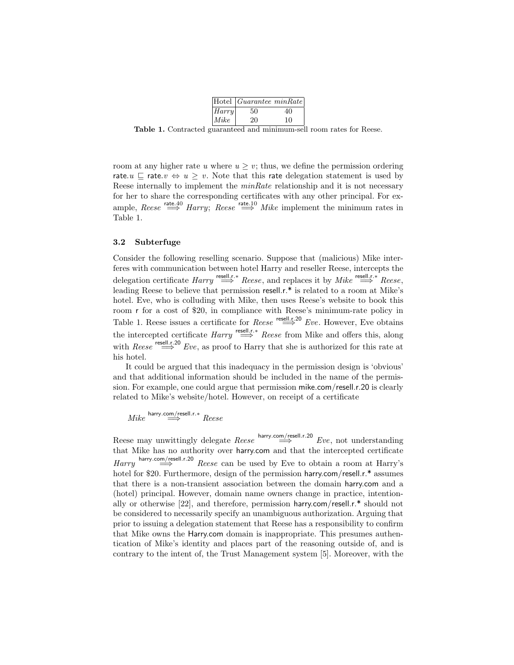|        | Hotel   Guarantee minRate |    |
|--------|---------------------------|----|
| Harrow | 50                        | 40 |
| Mike   | 20                        | 10 |

Table 1. Contracted guaranteed and minimum-sell room rates for Reese.

room at any higher rate u where  $u \geq v$ ; thus, we define the permission ordering rate.u  $\sqsubseteq$  rate. $v \Leftrightarrow u \geq v$ . Note that this rate delegation statement is used by Reese internally to implement the *minRate* relationship and it is not necessary for her to share the corresponding certificates with any other principal. For example, Reese  $\stackrel{\text{rate.40}}{\Longrightarrow}$  Harry; Reese  $\stackrel{\text{rate.10}}{\Longrightarrow}$  Mike implement the minimum rates in Table 1.

#### 3.2 Subterfuge

Consider the following reselling scenario. Suppose that (malicious) Mike interferes with communication between hotel Harry and reseller Reese, intercepts the delegation certificate  $Harry \stackrel{\text{resell}, r \cdot *}{\implies} Reese$ , and replaces it by  $Mike \stackrel{\text{resell}, r \cdot *}{\implies} Reese$ , leading Reese to believe that permission resell.r.\* is related to a room at Mike's hotel. Eve, who is colluding with Mike, then uses Reese's website to book this room r for a cost of \$20, in compliance with Reese's minimum-rate policy in Table 1. Reese issues a certificate for  $\text{Reese} \stackrel{\text{result.r.20}}{\Longrightarrow} Eve$ . However, Eve obtains the intercepted certificate  $Harry \stackrel{\text{result},r.*}{\implies} Reese$  from Mike and offers this, along with Reese  $\stackrel{\text{result.r.20}}{\Longrightarrow} Eve$ , as proof to Harry that she is authorized for this rate at his hotel.

It could be argued that this inadequacy in the permission design is 'obvious' and that additional information should be included in the name of the permission. For example, one could argue that permission mike.com/resell.r.20 is clearly related to Mike's website/hotel. However, on receipt of a certificate

$$
\mathit{Mike}\overset{\text{harry.com/resell.r.*}}{\Longrightarrow}\mathit{Reese}
$$

Reese may unwittingly delegate  $\text{Reese}$  harry.com/resell.r.20  $Eve$ , not understanding that Mike has no authority over harry.com and that the intercepted certificate  $\eta_{\text{Harry.}} \longrightarrow^{\text{harry.comp/resell.r.20}}$  Reese can be used by Eve to obtain a room at Harry's hotel for \$20. Furthermore, design of the permission harry.com/resell.r.\* assumes that there is a non-transient association between the domain harry.com and a (hotel) principal. However, domain name owners change in practice, intentionally or otherwise [22], and therefore, permission harry.com/resell.r.\* should not be considered to necessarily specify an unambiguous authorization. Arguing that prior to issuing a delegation statement that Reese has a responsibility to confirm that Mike owns the Harry.com domain is inappropriate. This presumes authentication of Mike's identity and places part of the reasoning outside of, and is contrary to the intent of, the Trust Management system [5]. Moreover, with the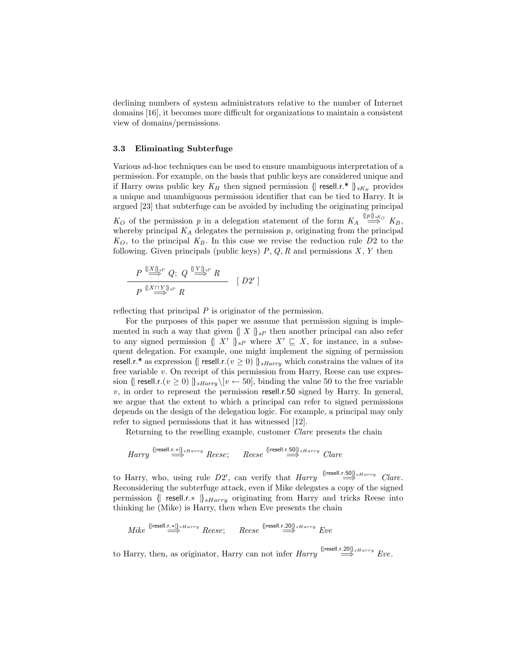declining numbers of system administrators relative to the number of Internet domains [16], it becomes more difficult for organizations to maintain a consistent view of domains/permissions.

#### 3.3 Eliminating Subterfuge

Various ad-hoc techniques can be used to ensure unambiguous interpretation of a permission. For example, on the basis that public keys are considered unique and if Harry owns public key  $K_H$  then signed permission  $\{\mathsf{resell.r.*}\}_{sK_H}$  provides a unique and unambiguous permission identifier that can be tied to Harry. It is argued [23] that subterfuge can be avoided by including the originating principal  $K_O$  of the permission p in a delegation statement of the form  $K_A \stackrel{\{\text{lp}\}_{sK_O}}{\Longrightarrow} K_B$ , whereby principal  $K_A$  delegates the permission  $p$ , originating from the principal  $K_O$ , to the principal  $K_B$ . In this case we revise the reduction rule D2 to the following. Given principals (public keys)  $P, Q, R$  and permissions  $X, Y$  then

$$
\frac{P \stackrel{\{X\}_{\infty}^P}{\Longrightarrow} Q; \ Q \stackrel{\{Y\}_{\infty}^R}{\Longrightarrow} R}{P \stackrel{\{X \cap Y\}_{\infty}^P}{\Longrightarrow} R} \ [D2']
$$

reflecting that principal P is originator of the permission.

For the purposes of this paper we assume that permission signing is implemented in such a way that given  $\{ |X| \}_{sP}$  then another principal can also refer to any signed permission  $\{X' \}_{sP}$  where  $X' \subseteq X$ , for instance, in a subsequent delegation. For example, one might implement the signing of permission resell.r.\* as expression {| resell.r.( $v \ge 0$ )  $\frac{1}{s\,Harr y}$  which constrains the values of its free variable  $v$ . On receipt of this permission from Harry, Reese can use expression {| resell.r. $(v \ge 0)$  ||  $_{\text{sharry}}\{(v \leftarrow 50]$ , binding the value 50 to the free variable  $v$ , in order to represent the permission resell.r.50 signed by Harry. In general, we argue that the extent to which a principal can refer to signed permissions depends on the design of the delegation logic. For example, a principal may only refer to signed permissions that it has witnessed [12].

Returning to the reselling example, customer Clare presents the chain

$$
Harry \overset{\{\text{[resell.r.*]}\}_{sHarry}}{\Longrightarrow} Reese; \qquad Reese \overset{\{\text{[resell.r.50]}\}_{sHarry}}{\Longrightarrow} Clare
$$

to Harry, who, using rule  $D2'$ , can verify that  $\text{Harry}$   $\overset{\{\text{[resell.r.50]}\}}{\Longrightarrow} \text{Clare}.$ Reconsidering the subterfuge attack, even if Mike delegates a copy of the signed permission {| resell.r.\*  $\frac{1}{s\text{Harru}}$  originating from Harry and tricks Reese into thinking he (Mike) is Harry, then when Eve presents the chain

$$
\textit{Mike}\xrightarrow{\{\textsf{Iresell.r.}*\|\}_\textit{sharp}\textit{Rense};\qquad\textit{Reese}\xrightarrow{\{\textsf{Iresell.r.20} \}\textit{sharp}\textit{r.} \textit{true}\xrightarrow{\textsf{true}}\textit{Eve}\xrightarrow{\textsf{true}}\textit{true}\xrightarrow{\textsf{true}}\textit{true}\xrightarrow{\textsf{true}}\textit{true}\xrightarrow{\textsf{true}}\textit{true}\xrightarrow{\textsf{true}}\textit{true}\xrightarrow{\textsf{true}}\textit{true}\xrightarrow{\textsf{true}}\textit{true}\xrightarrow{\textsf{true}}\textit{true}\xrightarrow{\textsf{true}}\textit{true}\xrightarrow{\textsf{true}}\textit{true}\xrightarrow{\textsf{true}}\textit{true}\xrightarrow{\textsf{true}}\textit{true}\xrightarrow{\textsf{true}}\textit{true}\xrightarrow{\textsf{true}}\textit{true}\xrightarrow{\textsf{true}}\textit{true}\xrightarrow{\textsf{true}}\textit{true}\xrightarrow{\textsf{true}}\textit{true}\xrightarrow{\textsf{true}}\textit{true}\xrightarrow{\textsf{true}}\textit{true}\xrightarrow{\textsf{true}}\textit{true}\xrightarrow{\textsf{true}}\textit{true}\xrightarrow{\textsf{true}}\textit{true}\xrightarrow{\textsf{true}}\textit{true}\xrightarrow{\textsf{true}}\textit{true}\xrightarrow{\textsf{true}}\textit{true}\xrightarrow{\textsf{true}}\textit{true}\xrightarrow{\textsf{true}}\textit{true}\xrightarrow{\textsf{true}}\textit{true}\xrightarrow{\textsf{true}}\textit{true}\xrightarrow{\textsf{true}}\textit{true}\xrightarrow{\textsf{true}}\textit{true}\xrightarrow{\textsf{true}}\textit{true}\xrightarrow{\textsf{true}}\textit{true}\xrightarrow{\textsf{true}}\textit{true}\xrightarrow{\textsf{true}}\textit{true}\xrightarrow{\textsf{true}}\textit{true}\xrightarrow{\textsf{true}}\textit{true}\xrightarrow{\textsf{true}}\textit{true}\xrightarrow{\textsf{true}}\textit{true}\xrightarrow{\textsf{true}}\textit{true}\xrightarrow{\textsf{true}}\textit{true}\xrightarrow{\textsf{true}}\textit{true}\xrightarrow{\textsf{true}}\textit{true}\xrightarrow{\textsf{true}}\textit{true}\xrightarrow{\textsf{true}}\textit{true}\xrightarrow{\textsf{true}}\textit{true}\xrightarrow{\textsf{true}}\textit{true}\xrightarrow{\textsf{true}}
$$

to Harry, then, as originator, Harry can not infer  $\text{Harry}$   $\bigcirc^{\{\text{[resell.r.20]}\}_{s\text{Harry}}}$  Eve.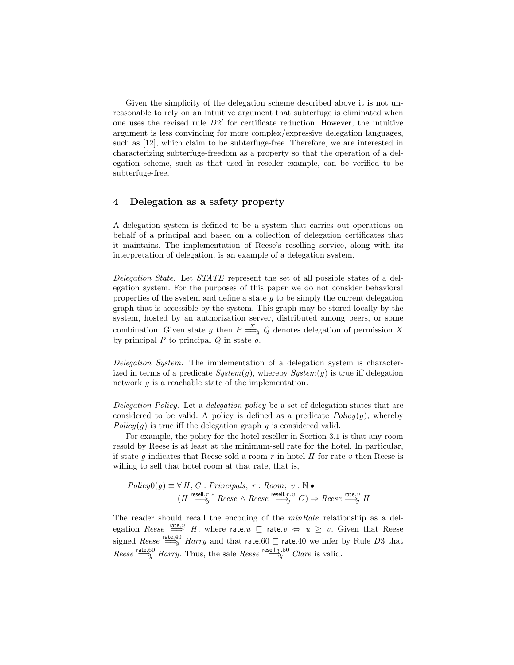Given the simplicity of the delegation scheme described above it is not unreasonable to rely on an intuitive argument that subterfuge is eliminated when one uses the revised rule  $D2'$  for certificate reduction. However, the intuitive argument is less convincing for more complex/expressive delegation languages, such as [12], which claim to be subterfuge-free. Therefore, we are interested in characterizing subterfuge-freedom as a property so that the operation of a delegation scheme, such as that used in reseller example, can be verified to be subterfuge-free.

# 4 Delegation as a safety property

A delegation system is defined to be a system that carries out operations on behalf of a principal and based on a collection of delegation certificates that it maintains. The implementation of Reese's reselling service, along with its interpretation of delegation, is an example of a delegation system.

Delegation State. Let STATE represent the set of all possible states of a delegation system. For the purposes of this paper we do not consider behavioral properties of the system and define a state  $q$  to be simply the current delegation graph that is accessible by the system. This graph may be stored locally by the system, hosted by an authorization server, distributed among peers, or some combination. Given state g then  $P \stackrel{X}{\Longrightarrow}_q Q$  denotes delegation of permission X by principal  $P$  to principal  $Q$  in state  $q$ .

Delegation System. The implementation of a delegation system is characterized in terms of a predicate  $System(g)$ , whereby  $System(g)$  is true iff delegation network  $q$  is a reachable state of the implementation.

Delegation Policy. Let a delegation policy be a set of delegation states that are considered to be valid. A policy is defined as a predicate  $Policy(g)$ , whereby  $Policy(q)$  is true iff the delegation graph q is considered valid.

For example, the policy for the hotel reseller in Section 3.1 is that any room resold by Reese is at least at the minimum-sell rate for the hotel. In particular, if state q indicates that Reese sold a room  $r$  in hotel  $H$  for rate  $v$  then Reese is willing to sell that hotel room at that rate, that is,

$$
Policy0(g) \equiv \forall H, C : Principles; r : Room; v : \mathbb{N} \bullet
$$
  

$$
(H \stackrel{\mathsf{result}, r, v}{\Longrightarrow} \mathsf{Reese} \land \mathsf{Reese} \stackrel{\mathsf{result}, r, v}{\Longrightarrow} C) \Rightarrow \mathsf{Reese} \stackrel{\mathsf{rate}, v}{\Longrightarrow} H
$$

The reader should recall the encoding of the *minRate* relationship as a delegation Reese  $\stackrel{\text{rate}, u}{\implies} H$ , where rate. $u \subseteq$  rate. $v \Leftrightarrow u \geq v$ . Given that Reese signed Reese  $\stackrel{\text{rate.40}}{\Longrightarrow}$  Harry and that rate.60  $\sqsubseteq$  rate.40 we infer by Rule D3 that Reese  $\stackrel{\text{rate}, 60}{\Longrightarrow}$  Harry. Thus, the sale Reese  $\stackrel{\text{resell}, r, 50}{\Longrightarrow}$  Clare is valid.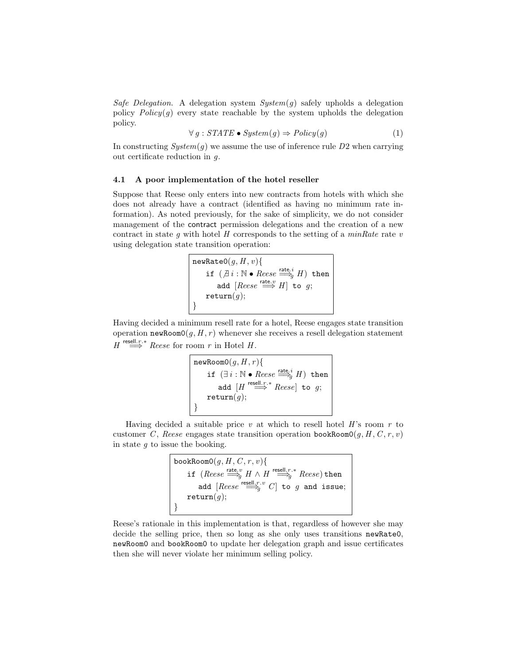Safe Delegation. A delegation system  $System(g)$  safely upholds a delegation policy  $Policy(q)$  every state reachable by the system upholds the delegation policy.

$$
\forall g: STATE \bullet System(g) \Rightarrow Policy(g) \tag{1}
$$

In constructing  $System(g)$  we assume the use of inference rule  $D2$  when carrying out certificate reduction in g.

#### 4.1 A poor implementation of the hotel reseller

Suppose that Reese only enters into new contracts from hotels with which she does not already have a contract (identified as having no minimum rate information). As noted previously, for the sake of simplicity, we do not consider management of the contract permission delegations and the creation of a new contract in state g with hotel  $H$  corresponds to the setting of a minRate rate  $v$ using delegation state transition operation:

```
{\tt newRateO}(g,H,v) \{if (\overline{\beta} i : \mathbb{N} \bullet \text{Reese} \stackrel{\text{rate}, i}{\Longrightarrow} H) then
       add [Reese \stackrel{\text{rate.}v}{\Longrightarrow} H] to g;
\texttt{return}(g);}
```
Having decided a minimum resell rate for a hotel, Reese engages state transition operation newRoom0( $g, H, r$ ) whenever she receives a resell delegation statement  $H \stackrel{\text{resell.r.*}}{\Longrightarrow} Reese \text{ for room } r \text{ in Hotel } H.$ 

```
{\tt newRoomO}(g,H,r) \{if (\exists i : \mathbb{N} \bullet \text{Reese} \stackrel{\text{rate}, i}{\Longrightarrow} H) then
       add [H \stackrel{\text{resell.r.}*}{\Longrightarrow} Reese] to g;
\texttt{return}(g);}
```
Having decided a suitable price  $v$  at which to resell hotel  $H$ 's room  $r$  to customer C, Reese engages state transition operation bookRoom0 $(g, H, C, r, v)$ in state  $g$  to issue the booking.

> bookRoom $0(g, H, C, r, v)$ { if  $(Reese \stackrel{\text{rate}, v}{\Longrightarrow} H \wedge H \stackrel{\text{resell}, r.*}{\Longrightarrow} Reese)$  then add  $[Reese \stackrel{\text{result},r.v}{\Longrightarrow} C]$  to  $g$  and issue;  $\texttt{return}(g);$ }

Reese's rationale in this implementation is that, regardless of however she may decide the selling price, then so long as she only uses transitions newRate0, newRoom0 and bookRoom0 to update her delegation graph and issue certificates then she will never violate her minimum selling policy.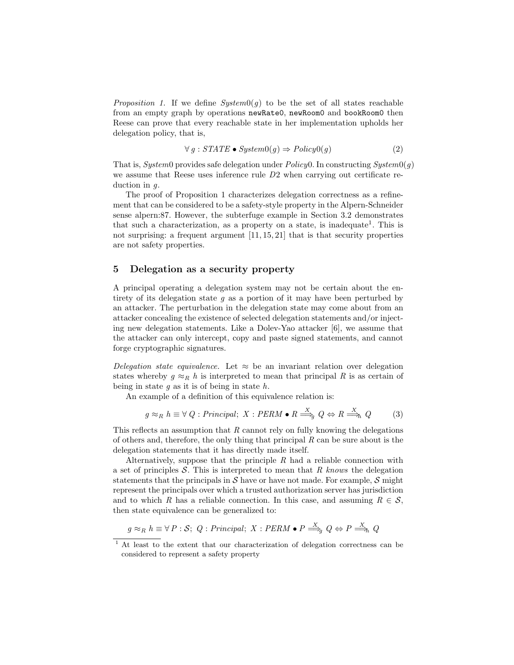*Proposition 1.* If we define  $System0(q)$  to be the set of all states reachable from an empty graph by operations newRate0, newRoom0 and bookRoom0 then Reese can prove that every reachable state in her implementation upholds her delegation policy, that is,

$$
\forall g: STATE \bullet System0(g) \Rightarrow Policy0(g) \tag{2}
$$

That is, System0 provides safe delegation under  $Policy 0$ . In constructing  $System 0(g)$ we assume that Reese uses inference rule D2 when carrying out certificate reduction in g.

The proof of Proposition 1 characterizes delegation correctness as a refinement that can be considered to be a safety-style property in the Alpern-Schneider sense alpern:87. However, the subterfuge example in Section 3.2 demonstrates that such a characterization, as a property on a state, is inadequate<sup>1</sup>. This is not surprising: a frequent argument [11, 15, 21] that is that security properties are not safety properties.

# 5 Delegation as a security property

A principal operating a delegation system may not be certain about the entirety of its delegation state  $g$  as a portion of it may have been perturbed by an attacker. The perturbation in the delegation state may come about from an attacker concealing the existence of selected delegation statements and/or injecting new delegation statements. Like a Dolev-Yao attacker [6], we assume that the attacker can only intercept, copy and paste signed statements, and cannot forge cryptographic signatures.

Delegation state equivalence. Let  $\approx$  be an invariant relation over delegation states whereby  $g \approx_R h$  is interpreted to mean that principal R is as certain of being in state  $g$  as it is of being in state  $h$ .

An example of a definition of this equivalence relation is:

$$
g \approx_R h \equiv \forall Q : Principal; X : PERM \bullet R \stackrel{X}{\Longrightarrow}_q Q \Leftrightarrow R \stackrel{X}{\Longrightarrow}_h Q
$$
 (3)

This reflects an assumption that  $R$  cannot rely on fully knowing the delegations of others and, therefore, the only thing that principal  $R$  can be sure about is the delegation statements that it has directly made itself.

Alternatively, suppose that the principle  $R$  had a reliable connection with a set of principles  $S$ . This is interpreted to mean that R knows the delegation statements that the principals in  $S$  have or have not made. For example,  $S$  might represent the principals over which a trusted authorization server has jurisdiction and to which R has a reliable connection. In this case, and assuming  $R \in \mathcal{S}$ , then state equivalence can be generalized to:

 $g \approx_R h \equiv \forall P : S; Q : Principal; X : PERM \bullet P \stackrel{X}{\Longrightarrow}_g Q \Leftrightarrow P \stackrel{X}{\Longrightarrow}_h Q$ 

<sup>&</sup>lt;sup>1</sup> At least to the extent that our characterization of delegation correctness can be considered to represent a safety property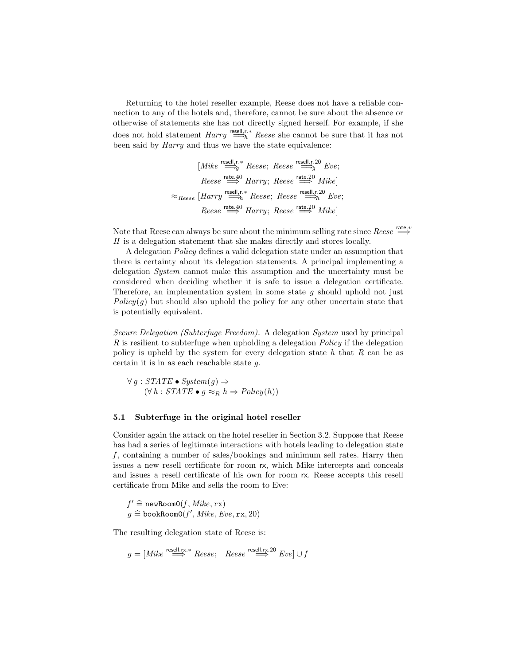Returning to the hotel reseller example, Reese does not have a reliable connection to any of the hotels and, therefore, cannot be sure about the absence or otherwise of statements she has not directly signed herself. For example, if she does not hold statement  $Harry \stackrel{\text{resell},r,*}{\Longrightarrow} Reese$  she cannot be sure that it has not been said by Harry and thus we have the state equivalence:

$$
[Mike \stackrel{\text{result},r,*}{\Longrightarrow} Reese; Reese \stackrel{\text{result},r,20}{\Longrightarrow} Eve;
$$
  
\n
$$
Reese \stackrel{\text{rate},40}{\Longrightarrow} Harry; Reese \stackrel{\text{rate},20}{\Longrightarrow} Mike]
$$
  
\n
$$
\approx_{Reese} [Harry \stackrel{\text{result},r,*}{\Longrightarrow} Reese; Reese \stackrel{\text{result},r,20}{\Longrightarrow} Eve;
$$
  
\n
$$
Reese \stackrel{\text{rate},40}{\Longrightarrow} Harry; Reese \stackrel{\text{rate},20}{\Longrightarrow} Mike]
$$

Note that Reese can always be sure about the minimum selling rate since  $\text{Reese} \overset{\text{rate},v}{\Longrightarrow}$ H is a delegation statement that she makes directly and stores locally.

A delegation Policy defines a valid delegation state under an assumption that there is certainty about its delegation statements. A principal implementing a delegation System cannot make this assumption and the uncertainty must be considered when deciding whether it is safe to issue a delegation certificate. Therefore, an implementation system in some state  $g$  should uphold not just  $Policy(q)$  but should also uphold the policy for any other uncertain state that is potentially equivalent.

Secure Delegation (Subterfuge Freedom). A delegation System used by principal R is resilient to subterfuge when upholding a delegation Policy if the delegation policy is upheld by the system for every delegation state  $h$  that  $R$  can be as certain it is in as each reachable state g.

 $\forall g : STATE \bullet System(g) \Rightarrow$  $(\forall h : STATE \bullet q \approx_R h \Rightarrow Policy(h))$ 

#### 5.1 Subterfuge in the original hotel reseller

Consider again the attack on the hotel reseller in Section 3.2. Suppose that Reese has had a series of legitimate interactions with hotels leading to delegation state  $f$ , containing a number of sales/bookings and minimum sell rates. Harry then issues a new resell certificate for room rx, which Mike intercepts and conceals and issues a resell certificate of his own for room rx. Reese accepts this resell certificate from Mike and sells the room to Eve:

 $f' \triangleq newRoomO(f, Mike, rx)$ <br> $g \triangleq bosPrComO(f', Mike, Fe)$  $g \,\,\widehat{=} \,$ bookRoom0 $(f',\mathit{Mike},\mathit{Eve},\mathtt{rx},20)$ 

The resulting delegation state of Reese is:

 $g = [Mike \stackrel{\text{resell.rx.}}{\Longrightarrow} Reese; \quad Reese \stackrel{\text{resell.rx.20}}{\Longrightarrow} Eve] \cup f$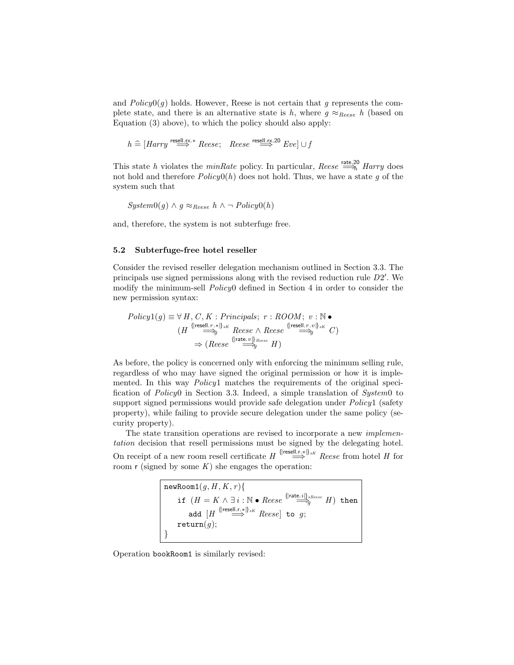and  $Policy0(q)$  holds. However, Reese is not certain that g represents the complete state, and there is an alternative state is h, where  $g \approx_{\text{Reese}} h$  (based on Equation (3) above), to which the policy should also apply:

$$
h \stackrel{\sim}{=} [Harry \stackrel{\text{resell.rx.}}{\Longrightarrow} Reese; \quad Reese \stackrel{\text{resell.rx.20}}{\Longrightarrow} Eve] \cup f
$$

This state h violates the minRate policy. In particular, Reese  $\stackrel{\text{rate},20}{\Longrightarrow}$  Harry does not hold and therefore  $Policy(0, h)$  does not hold. Thus, we have a state g of the system such that

$$
System0(g) \land g \approx_{Reese} h \land \neg Policy0(h)
$$

and, therefore, the system is not subterfuge free.

#### 5.2 Subterfuge-free hotel reseller

Consider the revised reseller delegation mechanism outlined in Section 3.3. The principals use signed permissions along with the revised reduction rule  $D2'$ . We modify the minimum-sell Policy0 defined in Section 4 in order to consider the new permission syntax:

$$
Policy1(g) \equiv \forall H, C, K: Principles; r: \text{ROOM}; v: \mathbb{N} \bullet
$$
\n
$$
(H \stackrel{\{\text{freeell}, r, * \}}{\Longrightarrow} \text{Reese} \land \text{Reese} \stackrel{\{\text{freeell}, r, v \}}{\Longrightarrow} G)
$$
\n
$$
\Rightarrow (\text{Reese} \stackrel{\{\text{freeell}, r, v \}}{\Longrightarrow} H)
$$

As before, the policy is concerned only with enforcing the minimum selling rule, regardless of who may have signed the original permission or how it is implemented. In this way *Policy*1 matches the requirements of the original specification of Policy0 in Section 3.3. Indeed, a simple translation of System0 to support signed permissions would provide safe delegation under *Policy*1 (safety property), while failing to provide secure delegation under the same policy (security property).

The state transition operations are revised to incorporate a new implementation decision that resell permissions must be signed by the delegating hotel. On receipt of a new room resell certificate  $H \overset{\{\text{freeell.r.}*}{\implies} Rese$  from hotel H for room  $r$  (signed by some  $K$ ) she engages the operation:

newRoom1(g, H, K, r){  
\nif 
$$
(H = K \land \exists i : \mathbb{N} \bullet
$$
 Reese  $\overset{\{\text{rate. } i\}_{sReese}}{\longrightarrow} H$ ) then  
\nadd  $[H^{\{\text{tree}]\_\text{r.s.}\}\}_{sK}$  Reese] to g;  
\nreturn(g);

Operation bookRoom1 is similarly revised: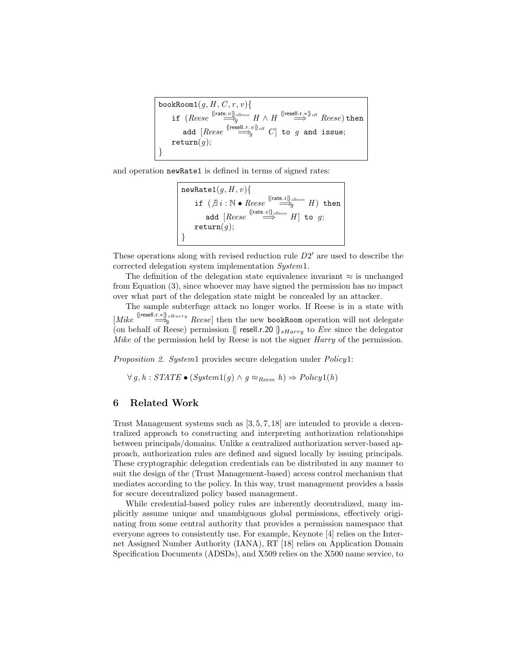bookRoom1(g, H , C , r , v){ if (Reese {|rate.v|}sReese <sup>=</sup>⇒<sup>g</sup> <sup>H</sup> <sup>∧</sup> <sup>H</sup> {|resell.r.∗|}sH <sup>=</sup><sup>⇒</sup> Reese) then add [Reese {|resell.r.v|}sH <sup>=</sup>⇒<sup>g</sup> <sup>C</sup> ] to <sup>g</sup> and issue; return(g); }

and operation newRate1 is defined in terms of signed rates:

$$
\begin{array}{l} \texttt{newRate1}(g,H,v) \{ \\ \texttt{if } (\not\exists i : \mathbb{N} \bullet \textit{Reese} \xrightarrow{\{\texttt{rate}.i\}_{s\textit{Reese}}}_{\mathcal{G}} H) \texttt{ then} \\ \texttt{add } [\textit{Reese} \xrightarrow{\{\texttt{rate}.v\}_{s\textit{Reese}}}_{\mathcal{G}} H] \texttt{ to } g; \\ \texttt{return}(g); \end{array}
$$

These operations along with revised reduction rule  $D2'$  are used to describe the corrected delegation system implementation System1.

The definition of the delegation state equivalence invariant  $\approx$  is unchanged from Equation (3), since whoever may have signed the permission has no impact over what part of the delegation state might be concealed by an attacker.

The sample subterfuge attack no longer works. If Reese is in a state with  $[Mike \stackrel{\{\text{freell.r.}\}\text{s}Harry}{\Longrightarrow} Reese]$  then the new bookRoom operation will not delegate (on behalf of Reese) permission {| resell.r.20  $\left|\right|_{sHarru}$  to Eve since the delegator Mike of the permission held by Reese is not the signer *Harry* of the permission.

Proposition 2. System1 provides secure delegation under Policy1:

 $∀ g, h : STATE \bullet (System1(g) \land g ≈_{Reese} h) \Rightarrow Policy1(h)$ 

## 6 Related Work

Trust Management systems such as [3, 5, 7, 18] are intended to provide a decentralized approach to constructing and interpreting authorization relationships between principals/domains. Unlike a centralized authorization server-based approach, authorization rules are defined and signed locally by issuing principals. These cryptographic delegation credentials can be distributed in any manner to suit the design of the (Trust Management-based) access control mechanism that mediates according to the policy. In this way, trust management provides a basis for secure decentralized policy based management.

While credential-based policy rules are inherently decentralized, many implicitly assume unique and unambiguous global permissions, effectively originating from some central authority that provides a permission namespace that everyone agrees to consistently use. For example, Keynote [4] relies on the Internet Assigned Number Authority (IANA), RT [18] relies on Application Domain Specification Documents (ADSDs), and X509 relies on the X500 name service, to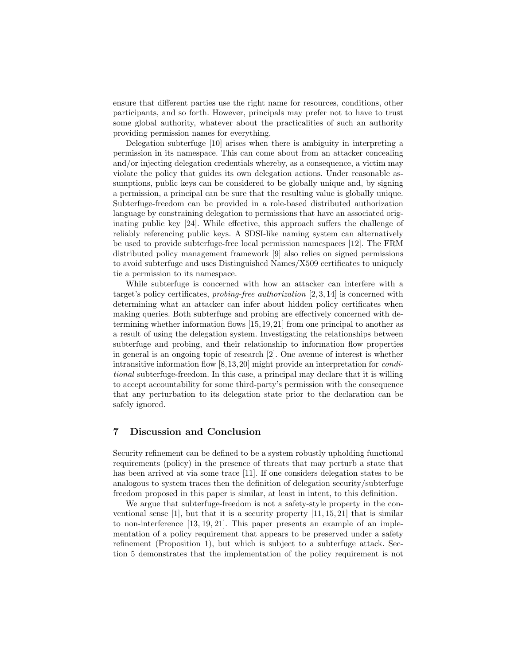ensure that different parties use the right name for resources, conditions, other participants, and so forth. However, principals may prefer not to have to trust some global authority, whatever about the practicalities of such an authority providing permission names for everything.

Delegation subterfuge [10] arises when there is ambiguity in interpreting a permission in its namespace. This can come about from an attacker concealing and/or injecting delegation credentials whereby, as a consequence, a victim may violate the policy that guides its own delegation actions. Under reasonable assumptions, public keys can be considered to be globally unique and, by signing a permission, a principal can be sure that the resulting value is globally unique. Subterfuge-freedom can be provided in a role-based distributed authorization language by constraining delegation to permissions that have an associated originating public key [24]. While effective, this approach suffers the challenge of reliably referencing public keys. A SDSI-like naming system can alternatively be used to provide subterfuge-free local permission namespaces [12]. The FRM distributed policy management framework [9] also relies on signed permissions to avoid subterfuge and uses Distinguished Names/X509 certificates to uniquely tie a permission to its namespace.

While subterfuge is concerned with how an attacker can interfere with a target's policy certificates, *probing-free authorization* [2, 3, 14] is concerned with determining what an attacker can infer about hidden policy certificates when making queries. Both subterfuge and probing are effectively concerned with determining whether information flows [15,19,21] from one principal to another as a result of using the delegation system. Investigating the relationships between subterfuge and probing, and their relationship to information flow properties in general is an ongoing topic of research [2]. One avenue of interest is whether intransitive information flow [8,13,20] might provide an interpretation for conditional subterfuge-freedom. In this case, a principal may declare that it is willing to accept accountability for some third-party's permission with the consequence that any perturbation to its delegation state prior to the declaration can be safely ignored.

## 7 Discussion and Conclusion

Security refinement can be defined to be a system robustly upholding functional requirements (policy) in the presence of threats that may perturb a state that has been arrived at via some trace [11]. If one considers delegation states to be analogous to system traces then the definition of delegation security/subterfuge freedom proposed in this paper is similar, at least in intent, to this definition.

We argue that subterfuge-freedom is not a safety-style property in the conventional sense  $[1]$ , but that it is a security property  $[11, 15, 21]$  that is similar to non-interference [13, 19, 21]. This paper presents an example of an implementation of a policy requirement that appears to be preserved under a safety refinement (Proposition 1), but which is subject to a subterfuge attack. Section 5 demonstrates that the implementation of the policy requirement is not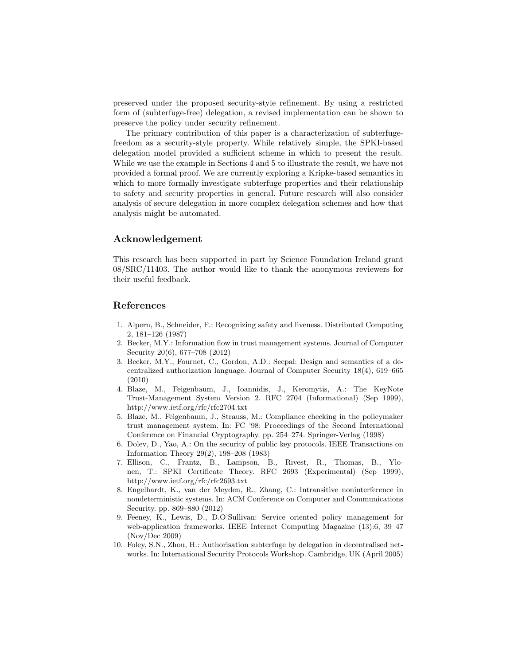preserved under the proposed security-style refinement. By using a restricted form of (subterfuge-free) delegation, a revised implementation can be shown to preserve the policy under security refinement.

The primary contribution of this paper is a characterization of subterfugefreedom as a security-style property. While relatively simple, the SPKI-based delegation model provided a sufficient scheme in which to present the result. While we use the example in Sections 4 and 5 to illustrate the result, we have not provided a formal proof. We are currently exploring a Kripke-based semantics in which to more formally investigate subterfuge properties and their relationship to safety and security properties in general. Future research will also consider analysis of secure delegation in more complex delegation schemes and how that analysis might be automated.

## Acknowledgement

This research has been supported in part by Science Foundation Ireland grant 08/SRC/11403. The author would like to thank the anonymous reviewers for their useful feedback.

## References

- 1. Alpern, B., Schneider, F.: Recognizing safety and liveness. Distributed Computing 2, 181–126 (1987)
- 2. Becker, M.Y.: Information flow in trust management systems. Journal of Computer Security 20(6), 677–708 (2012)
- 3. Becker, M.Y., Fournet, C., Gordon, A.D.: Secpal: Design and semantics of a decentralized authorization language. Journal of Computer Security 18(4), 619–665 (2010)
- 4. Blaze, M., Feigenbaum, J., Ioannidis, J., Keromytis, A.: The KeyNote Trust-Management System Version 2. RFC 2704 (Informational) (Sep 1999), http://www.ietf.org/rfc/rfc2704.txt
- 5. Blaze, M., Feigenbaum, J., Strauss, M.: Compliance checking in the policymaker trust management system. In: FC '98: Proceedings of the Second International Conference on Financial Cryptography. pp. 254–274. Springer-Verlag (1998)
- 6. Dolev, D., Yao, A.: On the security of public key protocols. IEEE Transactions on Information Theory 29(2), 198–208 (1983)
- 7. Ellison, C., Frantz, B., Lampson, B., Rivest, R., Thomas, B., Ylonen, T.: SPKI Certificate Theory. RFC 2693 (Experimental) (Sep 1999), http://www.ietf.org/rfc/rfc2693.txt
- 8. Engelhardt, K., van der Meyden, R., Zhang, C.: Intransitive noninterference in nondeterministic systems. In: ACM Conference on Computer and Communications Security. pp. 869–880 (2012)
- 9. Feeney, K., Lewis, D., D.O'Sullivan: Service oriented policy management for web-application frameworks. IEEE Internet Computing Magazine (13):6, 39–47 (Nov/Dec 2009)
- 10. Foley, S.N., Zhou, H.: Authorisation subterfuge by delegation in decentralised networks. In: International Security Protocols Workshop. Cambridge, UK (April 2005)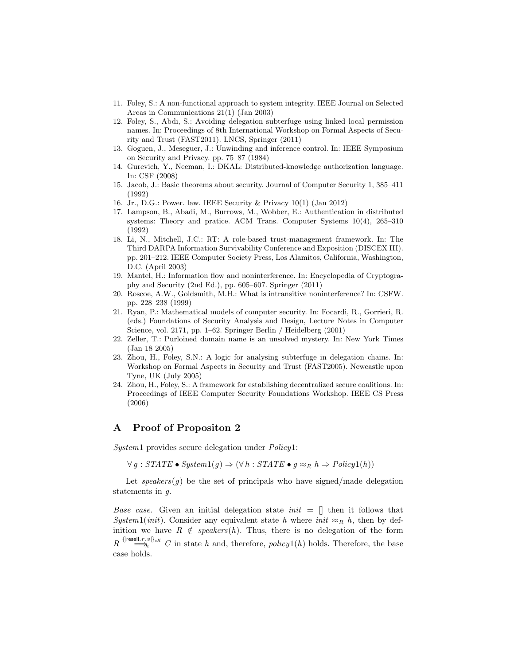- 11. Foley, S.: A non-functional approach to system integrity. IEEE Journal on Selected Areas in Communications 21(1) (Jan 2003)
- 12. Foley, S., Abdi, S.: Avoiding delegation subterfuge using linked local permission names. In: Proceedings of 8th International Workshop on Formal Aspects of Security and Trust (FAST2011). LNCS, Springer (2011)
- 13. Goguen, J., Meseguer, J.: Unwinding and inference control. In: IEEE Symposium on Security and Privacy. pp. 75–87 (1984)
- 14. Gurevich, Y., Neeman, I.: DKAL: Distributed-knowledge authorization language. In: CSF (2008)
- 15. Jacob, J.: Basic theorems about security. Journal of Computer Security 1, 385–411 (1992)
- 16. Jr., D.G.: Power. law. IEEE Security & Privacy 10(1) (Jan 2012)
- 17. Lampson, B., Abadi, M., Burrows, M., Wobber, E.: Authentication in distributed systems: Theory and pratice. ACM Trans. Computer Systems 10(4), 265–310 (1992)
- 18. Li, N., Mitchell, J.C.: RT: A role-based trust-management framework. In: The Third DARPA Information Survivability Conference and Exposition (DISCEX III). pp. 201–212. IEEE Computer Society Press, Los Alamitos, California, Washington, D.C. (April 2003)
- 19. Mantel, H.: Information flow and noninterference. In: Encyclopedia of Cryptography and Security (2nd Ed.), pp. 605–607. Springer (2011)
- 20. Roscoe, A.W., Goldsmith, M.H.: What is intransitive noninterference? In: CSFW. pp. 228–238 (1999)
- 21. Ryan, P.: Mathematical models of computer security. In: Focardi, R., Gorrieri, R. (eds.) Foundations of Security Analysis and Design, Lecture Notes in Computer Science, vol. 2171, pp. 1–62. Springer Berlin / Heidelberg (2001)
- 22. Zeller, T.: Purloined domain name is an unsolved mystery. In: New York Times (Jan 18 2005)
- 23. Zhou, H., Foley, S.N.: A logic for analysing subterfuge in delegation chains. In: Workshop on Formal Aspects in Security and Trust (FAST2005). Newcastle upon Tyne, UK (July 2005)
- 24. Zhou, H., Foley, S.: A framework for establishing decentralized secure coalitions. In: Proceedings of IEEE Computer Security Foundations Workshop. IEEE CS Press (2006)

# A Proof of Propositon 2

System1 provides secure delegation under Policy1:

 $\forall g : STATE \bullet System1(g) \Rightarrow (\forall h : STATE \bullet g \approx_R h \Rightarrow Policy1(h))$ 

Let speakers $(g)$  be the set of principals who have signed/made delegation statements in  $q$ .

*Base case.* Given an initial delegation state  $init = []$  then it follows that System1(init). Consider any equivalent state h where init  $\approx_R h$ , then by definition we have  $R \notin speakers(h)$ . Thus, there is no delegation of the form  $R \stackrel{\{\text{[resell.r.v]}\}_{sK}}{\longrightarrow} C$  in state h and, therefore, policy1(h) holds. Therefore, the base case holds.